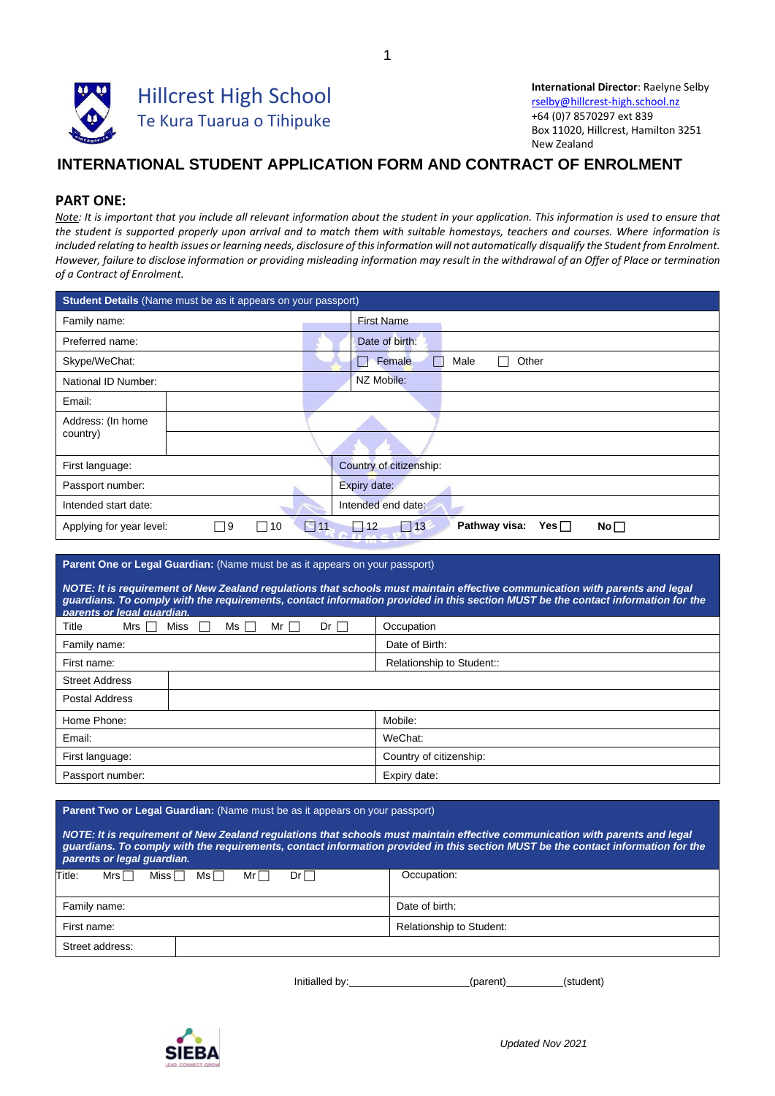

**International Director**: Raelyne Selby [rselby@hillcrest-high.school.nz](mailto:rselby@hillcrest-high.school.nz) +64 (0)7 8570297 ext 839 Box 11020, Hillcrest, Hamilton 3251 New Zealand

## **INTERNATIONAL STUDENT APPLICATION FORM AND CONTRACT OF ENROLMENT**

### **PART ONE:**

*Note: It is important that you include all relevant information about the student in your application. This information is used to ensure that the student is supported properly upon arrival and to match them with suitable homestays, teachers and courses. Where information is*  included relating to health issues or learning needs, disclosure of this information will not automatically disqualify the Student from Enrolment. However, failure to disclose information or providing misleading information may result in the withdrawal of an Offer of Place or termination *of a Contract of Enrolment.*

| <b>Student Details</b> (Name must be as it appears on your passport) |    |                          |  |                                                                  |  |  |  |
|----------------------------------------------------------------------|----|--------------------------|--|------------------------------------------------------------------|--|--|--|
| Family name:                                                         |    |                          |  | <b>First Name</b>                                                |  |  |  |
| Preferred name:                                                      |    |                          |  | Date of birth:                                                   |  |  |  |
| Skype/WeChat:                                                        |    |                          |  | Female<br>Male<br>Other<br>L.                                    |  |  |  |
| National ID Number:                                                  |    |                          |  | NZ Mobile:                                                       |  |  |  |
| Email:                                                               |    |                          |  |                                                                  |  |  |  |
| Address: (In home                                                    |    |                          |  |                                                                  |  |  |  |
| country)                                                             |    |                          |  |                                                                  |  |  |  |
| First language:                                                      |    |                          |  | Country of citizenship:                                          |  |  |  |
| Passport number:                                                     |    |                          |  | Expiry date:                                                     |  |  |  |
| Intended start date:                                                 |    |                          |  | Intended end date:                                               |  |  |  |
| Applying for year level:                                             | ∏9 | $\Box$ 11<br>$\sqcap$ 10 |  | Pathway visa:<br>Yes $\Box$<br>$\Box$ 13<br>12<br>$No \Box$<br>- |  |  |  |

#### **Parent One or Legal Guardian:** (Name must be as it appears on your passport)

*NOTE: It is requirement of New Zealand regulations that schools must maintain effective communication with parents and legal guardians. To comply with the requirements, contact information provided in this section MUST be the contact information for the parents or legal guardian.*

| Title<br><b>Miss</b><br>Mrs $\Box$<br>Ms 「<br>$Dr \Box$<br>Mr $\Box$ | Occupation                |
|----------------------------------------------------------------------|---------------------------|
| Family name:                                                         | Date of Birth:            |
| First name:                                                          | Relationship to Student:: |
| <b>Street Address</b>                                                |                           |
| Postal Address                                                       |                           |
| Home Phone:                                                          | Mobile:                   |
| Email:                                                               | WeChat:                   |
| First language:                                                      | Country of citizenship:   |
| Passport number:                                                     | Expiry date:              |

#### **Parent Two or Legal Guardian:** (Name must be as it appears on your passport)

| NOTE: It is requirement of New Zealand requlations that schools must maintain effective communication with parents and legal<br>guardians. To comply with the requirements, contact information provided in this section MUST be the contact information for the<br>parents or legal quardian. |                          |
|------------------------------------------------------------------------------------------------------------------------------------------------------------------------------------------------------------------------------------------------------------------------------------------------|--------------------------|
| Title:<br>Miss $\Box$<br>$Mrs$ $\Box$<br>Ms⊟<br>$Dr \Box$<br>$Mr-1$                                                                                                                                                                                                                            | Occupation:              |
| Family name:                                                                                                                                                                                                                                                                                   | Date of birth:           |
| First name:                                                                                                                                                                                                                                                                                    | Relationship to Student: |

| Street address: |  |
|-----------------|--|
|                 |  |
|                 |  |

| Initialled by: | (parent) | (student) |  |
|----------------|----------|-----------|--|
|                |          |           |  |

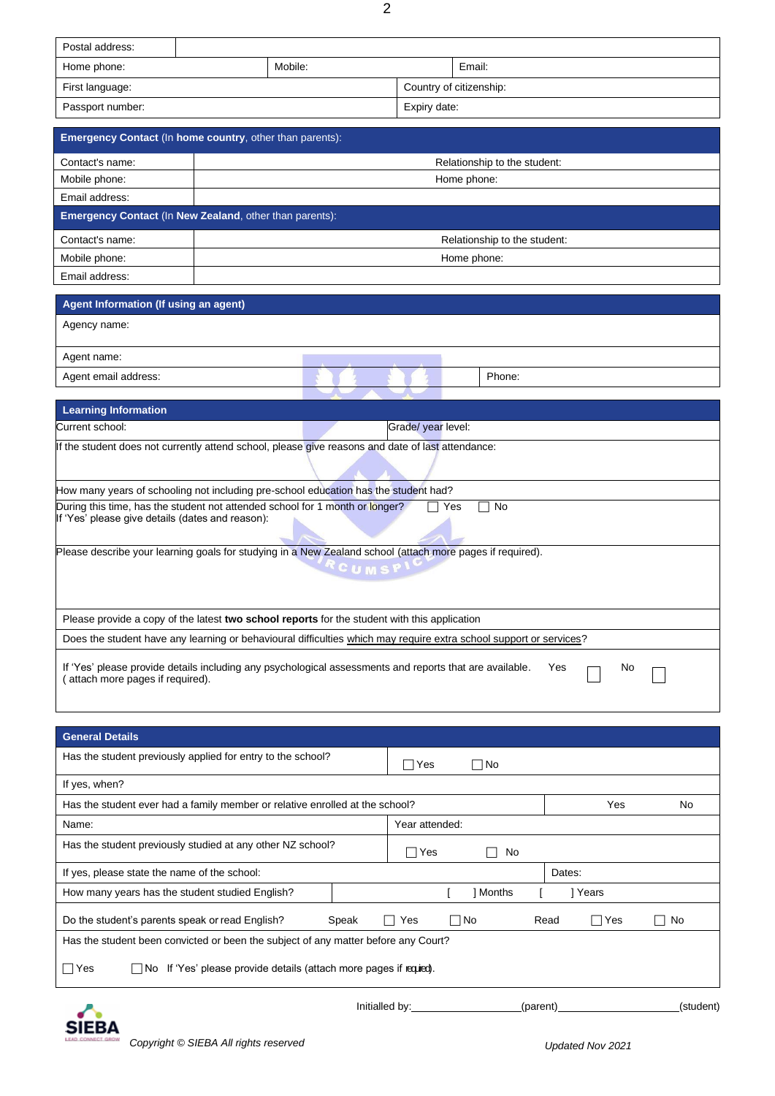| Postal address:  |         |                         |        |  |
|------------------|---------|-------------------------|--------|--|
| Home phone:      | Mobile: |                         | Email: |  |
| First language:  |         | Country of citizenship: |        |  |
| Passport number: |         | Expiry date:            |        |  |

|                 | <b>Emergency Contact (In home country, other than parents):</b> |
|-----------------|-----------------------------------------------------------------|
| Contact's name: | Relationship to the student:                                    |
| Mobile phone:   | Home phone:                                                     |
| Email address:  |                                                                 |
|                 | <b>Emergency Contact (In New Zealand, other than parents):</b>  |
| Contact's name: | Relationship to the student:                                    |
| Mobile phone:   | Home phone:                                                     |
| Email address:  |                                                                 |

| Agent Information (If using an agent)                                                                                            |                 |                    |        |
|----------------------------------------------------------------------------------------------------------------------------------|-----------------|--------------------|--------|
| Agency name:                                                                                                                     |                 |                    |        |
| Agent name:                                                                                                                      |                 |                    |        |
| Agent email address:                                                                                                             |                 |                    | Phone: |
|                                                                                                                                  |                 |                    |        |
| <b>Learning Information</b>                                                                                                      |                 |                    |        |
| Current school:                                                                                                                  |                 | Grade/ year level: |        |
| If the student does not currently attend school, please give reasons and date of last attendance:                                |                 |                    |        |
|                                                                                                                                  |                 |                    |        |
| How many years of schooling not including pre-school education has the student had?                                              |                 |                    |        |
| During this time, has the student not attended school for 1 month or longer?<br>If 'Yes' please give details (dates and reason): |                 | Yes                | No     |
| Please describe your learning goals for studying in a New Zealand school (attach more pages if required).                        |                 |                    |        |
|                                                                                                                                  | $C$ U M S P $'$ |                    |        |
| Please provide a copy of the latest two school reports for the student with this application                                     |                 |                    |        |
| Does the student have any learning or behavioural difficulties which may require extra school support or services?               |                 |                    |        |

If 'Yes' please provide details including any psychological assessments and reports that are available. Yes  $\Box$  No ( attach more pages if required).

| <b>General Details</b>                                                             |                |                |           |           |          |        |            |           |
|------------------------------------------------------------------------------------|----------------|----------------|-----------|-----------|----------|--------|------------|-----------|
| Has the student previously applied for entry to the school?                        |                | Yes            |           | $\Box$ No |          |        |            |           |
| If yes, when?                                                                      |                |                |           |           |          |        |            |           |
| Has the student ever had a family member or relative enrolled at the school?       |                |                |           |           |          |        | Yes        | No        |
| Name:                                                                              |                | Year attended: |           |           |          |        |            |           |
| Has the student previously studied at any other NZ school?                         |                | Yes            |           | No        |          |        |            |           |
| If yes, please state the name of the school:                                       |                |                |           |           |          | Dates: |            |           |
| How many years has the student studied English?                                    |                |                |           | Months    |          |        | ] Years    |           |
| Do the student's parents speak or read English?<br>Speak                           |                | Yes            | $\Box$ No |           | Read     |        | $\Box$ Yes | No        |
| Has the student been convicted or been the subject of any matter before any Court? |                |                |           |           |          |        |            |           |
| $\Box$ No If 'Yes' please provide details (attach more pages if required).<br>∏Yes |                |                |           |           |          |        |            |           |
|                                                                                    | Initialled by: |                |           |           | (parent) |        |            | (student) |



 $\overline{\phantom{a}}$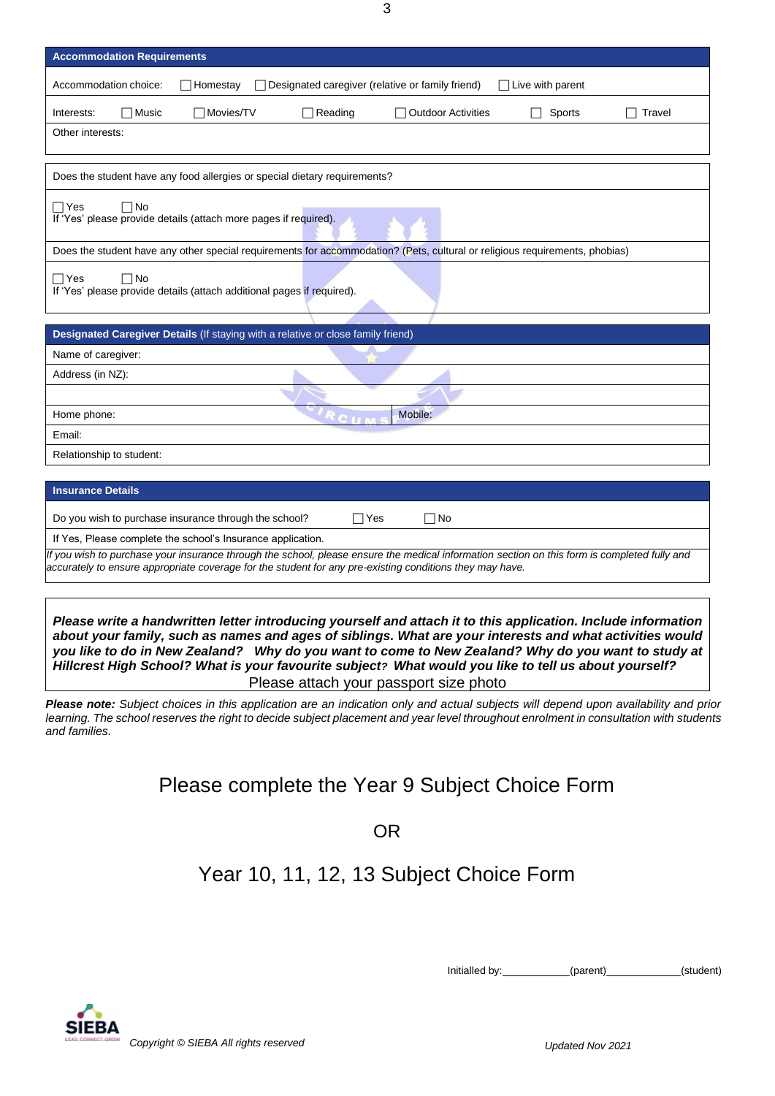3

| <b>Accommodation Requirements</b>                                                                                                            |
|----------------------------------------------------------------------------------------------------------------------------------------------|
| Designated caregiver (relative or family friend)<br>Accommodation choice:<br>Homestay<br>$\Box$ Live with parent                             |
| $\Box$ Music<br>□ Movies/TV<br>$\Box$ Reading<br><b>Outdoor Activities</b><br>Sports<br>Travel<br>Interests:                                 |
| Other interests:                                                                                                                             |
|                                                                                                                                              |
| Does the student have any food allergies or special dietary requirements?                                                                    |
| $\Box$ Yes<br>$\Box$ No<br>If 'Yes' please provide details (attach more pages if required).                                                  |
| Does the student have any other special requirements for accommodation? (Pets, cultural or religious requirements, phobias)                  |
| $\Box$ No<br>$\Box$ Yes<br>If 'Yes' please provide details (attach additional pages if required).                                            |
| Designated Caregiver Details (If staying with a relative or close family friend)                                                             |
| Name of caregiver:                                                                                                                           |
| Address (in NZ):                                                                                                                             |
|                                                                                                                                              |
| Mobile:<br>Home phone:<br>CII                                                                                                                |
| Email:                                                                                                                                       |
| Relationship to student:                                                                                                                     |
|                                                                                                                                              |
| <b>Insurance Details</b>                                                                                                                     |
| Do you wish to purchase insurance through the school?<br>$\sqcap$ No<br>∏Yes                                                                 |
| If Yes, Please complete the school's Insurance application.                                                                                  |
| If you wish to purchase your insurance through the school, please ensure the medical information section on this form is completed fully and |

*Please write a handwritten letter introducing yourself and attach it to this application. Include information about your family, such as names and ages of siblings. What are your interests and what activities would you like to do in New Zealand? Why do you want to come to New Zealand? Why do you want to study at Hillcrest High School? What is your favourite subject? What would you like to tell us about yourself?* 

*accurately to ensure appropriate coverage for the student for any pre-existing conditions they may have.*

Please attach your passport size photo

*Please note: Subject choices in this application are an indication only and actual subjects will depend upon availability and prior*  learning. The school reserves the right to decide subject placement and year level throughout enrolment in consultation with students *and families.*

# Please complete the Year 9 Subject Choice Form

OR

# Year 10, 11, 12, 13 Subject Choice Form

Initialled by: (parent) (parent) (student)

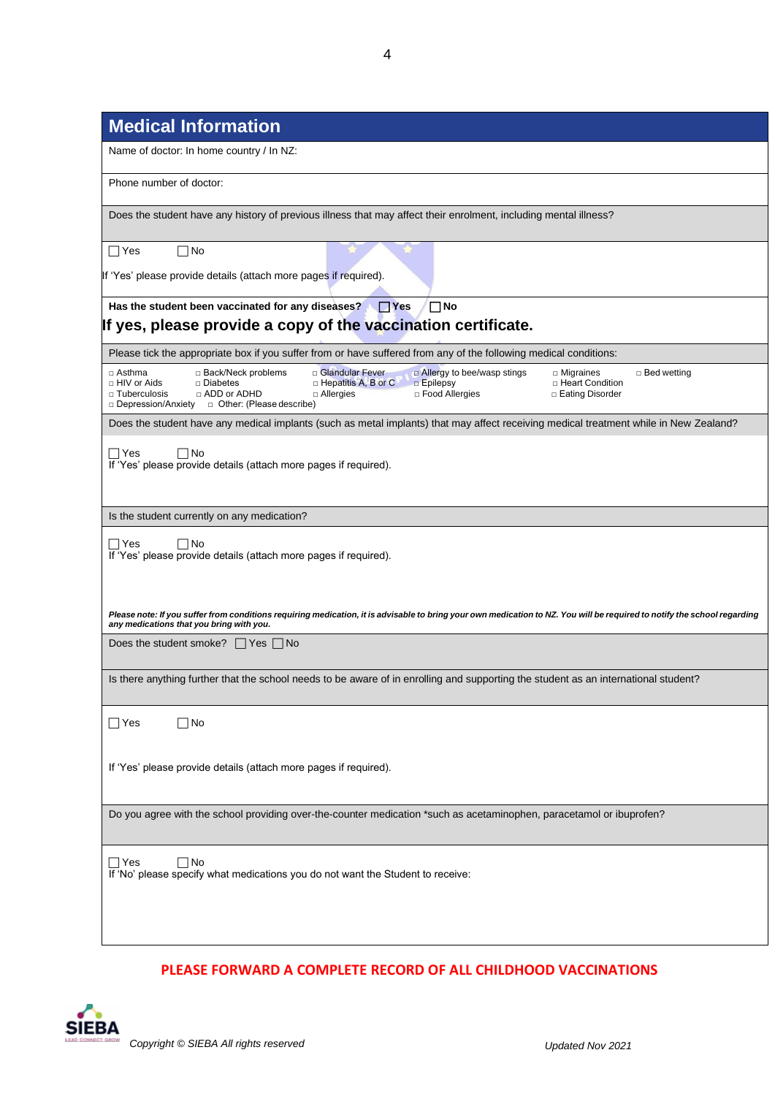| Name of doctor: In home country / In NZ:                                                                                                                                                                                                                                                                                                |
|-----------------------------------------------------------------------------------------------------------------------------------------------------------------------------------------------------------------------------------------------------------------------------------------------------------------------------------------|
| Phone number of doctor:                                                                                                                                                                                                                                                                                                                 |
| Does the student have any history of previous illness that may affect their enrolment, including mental illness?                                                                                                                                                                                                                        |
| $\Box$ Yes<br>∏No                                                                                                                                                                                                                                                                                                                       |
| If 'Yes' please provide details (attach more pages if required).                                                                                                                                                                                                                                                                        |
| Has the student been vaccinated for any diseases? Thes<br>$\Box$ No<br>If yes, please provide a copy of the vaccination certificate.                                                                                                                                                                                                    |
| Please tick the appropriate box if you suffer from or have suffered from any of the following medical conditions:                                                                                                                                                                                                                       |
| □ Back/Neck problems<br>□ Glandular Fever<br>a Allergy to bee/wasp stings<br>□ Asthma<br>□ Bed wetting<br>$\Box$ Migraines<br>□ HIV or Aids<br>□ Diabetes<br>$\Box$ Hepatitis A, B or C<br>$\square$ Epilepsy<br>□ Heart Condition<br>□ Food Allergies<br>$\Box$ Tuberculosis<br>□ ADD or ADHD<br>$\Box$ Allergies<br>□ Eating Disorder |
| Does the student have any medical implants (such as metal implants) that may affect receiving medical treatment while in New Zealand?                                                                                                                                                                                                   |
| $\Box$ Yes<br>□No<br>If 'Yes' please provide details (attach more pages if required).                                                                                                                                                                                                                                                   |
| Is the student currently on any medication?                                                                                                                                                                                                                                                                                             |
| $\Box$ Yes<br>l No<br>If 'Yes' please provide details (attach more pages if required).                                                                                                                                                                                                                                                  |
| Please note: If you suffer from conditions requiring medication, it is advisable to bring your own medication to NZ. You will be required to notify the school regarding<br>any medications that you bring with you.                                                                                                                    |
| Does the student smoke? $\Box$ Yes $\Box$ No                                                                                                                                                                                                                                                                                            |
| Is there anything further that the school needs to be aware of in enrolling and supporting the student as an international student?                                                                                                                                                                                                     |
| ∏No<br>$\Box$ Yes                                                                                                                                                                                                                                                                                                                       |
| If 'Yes' please provide details (attach more pages if required).                                                                                                                                                                                                                                                                        |
| Do you agree with the school providing over-the-counter medication *such as acetaminophen, paracetamol or ibuprofen?                                                                                                                                                                                                                    |
| ∩No<br>$\Box$ Yes<br>If 'No' please specify what medications you do not want the Student to receive:                                                                                                                                                                                                                                    |

### **PLEASE FORWARD A COMPLETE RECORD OF ALL CHILDHOOD VACCINATIONS**